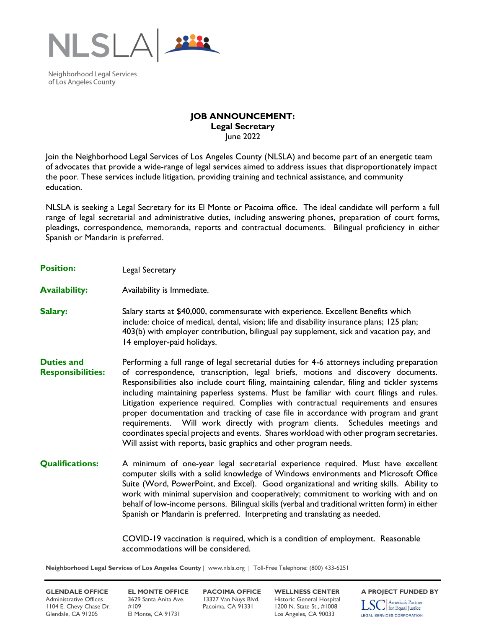

Neighborhood Legal Services of Los Angeles County

## **JOB ANNOUNCEMENT: Legal Secretary** June 2022

Join the Neighborhood Legal Services of Los Angeles County (NLSLA) and become part of an energetic team of advocates that provide a wide-range of legal services aimed to address issues that disproportionately impact the poor. These services include litigation, providing training and technical assistance, and community education.

NLSLA is seeking a Legal Secretary for its El Monte or Pacoima office. The ideal candidate will perform a full range of legal secretarial and administrative duties, including answering phones, preparation of court forms, pleadings, correspondence, memoranda, reports and contractual documents. Bilingual proficiency in either Spanish or Mandarin is preferred.

- **Position:** Legal Secretary
- **Availability:** Availability is Immediate.
- **Salary:** Salary starts at \$40,000, commensurate with experience. Excellent Benefits which include: choice of medical, dental, vision; life and disability insurance plans; 125 plan; 403(b) with employer contribution, bilingual pay supplement, sick and vacation pay, and 14 employer-paid holidays.
- **Duties and Responsibilities:** Performing a full range of legal secretarial duties for 4-6 attorneys including preparation of correspondence, transcription, legal briefs, motions and discovery documents. Responsibilities also include court filing, maintaining calendar, filing and tickler systems including maintaining paperless systems. Must be familiar with court filings and rules. Litigation experience required. Complies with contractual requirements and ensures proper documentation and tracking of case file in accordance with program and grant requirements. Will work directly with program clients. Schedules meetings and coordinates special projects and events. Shares workload with other program secretaries. Will assist with reports, basic graphics and other program needs.
- **Qualifications:** A minimum of one-year legal secretarial experience required. Must have excellent computer skills with a solid knowledge of Windows environments and Microsoft Office Suite (Word, PowerPoint, and Excel). Good organizational and writing skills. Ability to work with minimal supervision and cooperatively; commitment to working with and on behalf of low-income persons. Bilingual skills (verbal and traditional written form) in either Spanish or Mandarin is preferred. Interpreting and translating as needed.

COVID-19 vaccination is required, which is a condition of employment. Reasonable accommodations will be considered.

**Neighborhood Legal Services of Los Angeles County** | www.nlsla.org | Toll-Free Telephone: (800) 433-6251

Administrative Offices 3629 Santa Anita Ave. 13327 Van Nuys Blvd. Historic General Hospital<br>1104 E. Chevy Chase Dr. #109 Pacoima, CA 91331 1200 N. State St., #1008 1104 E. Chevy Chase Dr. #109 Pacoima, CA 91331 1200 N. State St., #1008 Glendale, CA 91205 El Monte, CA 91731 Los Angeles, CA 90033

**GLENDALE OFFICE EL MONTE OFFICE PACOIMA OFFICE WELLNESS CENTER** A PROJECT FUNDED BY<br>Administrative Offices 3629 Santa Anita Ave. 13327 Van Nuys Blvd. Historic General Hospital **Terra America's Partner** America's Partner  $\text{LSC}$  America's Partner

**LEGAL SERVICES CORPORATION**